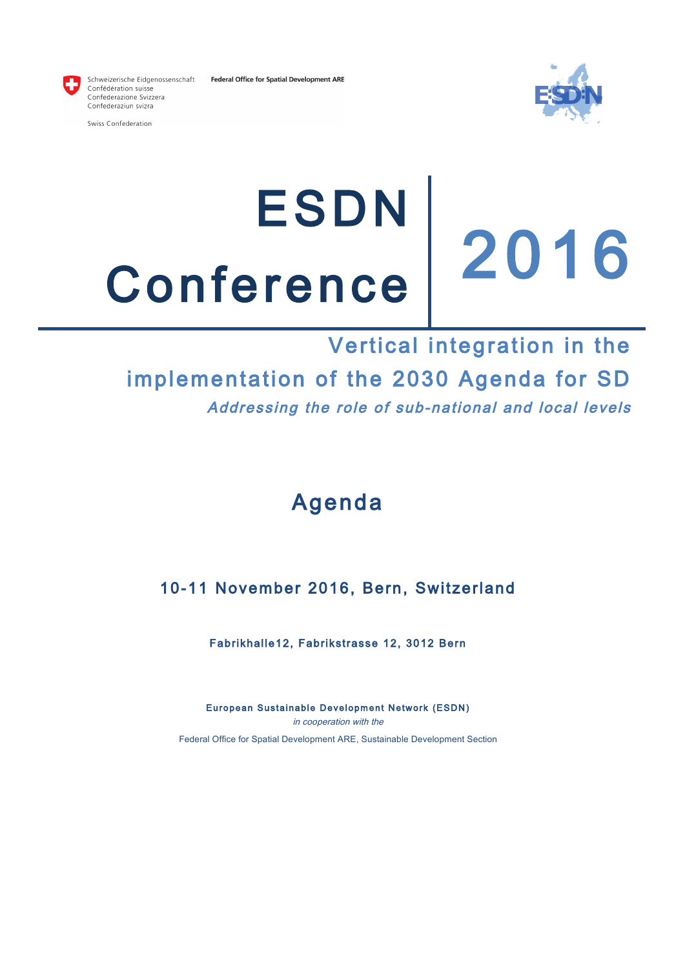



Schweizerische Eidgenossenschaft Confédération suisse Confederazione Svizzera Confederaziun svizra

Swiss Confederation

# ESDN Conference 2016<br>Vertical integration in the

## implementation of the 2030 Agenda for SD Addressing the role of sub-national and local levels

## Agenda

### 10-11 November 2016, Bern, Switzerland

Fabrikhalle12, Fabrikstrasse 12, 3012 Bern

European Sustainable Development Network (ESDN) in cooperation with the Federal Office for Spatial Development ARE, Sustainable Development Section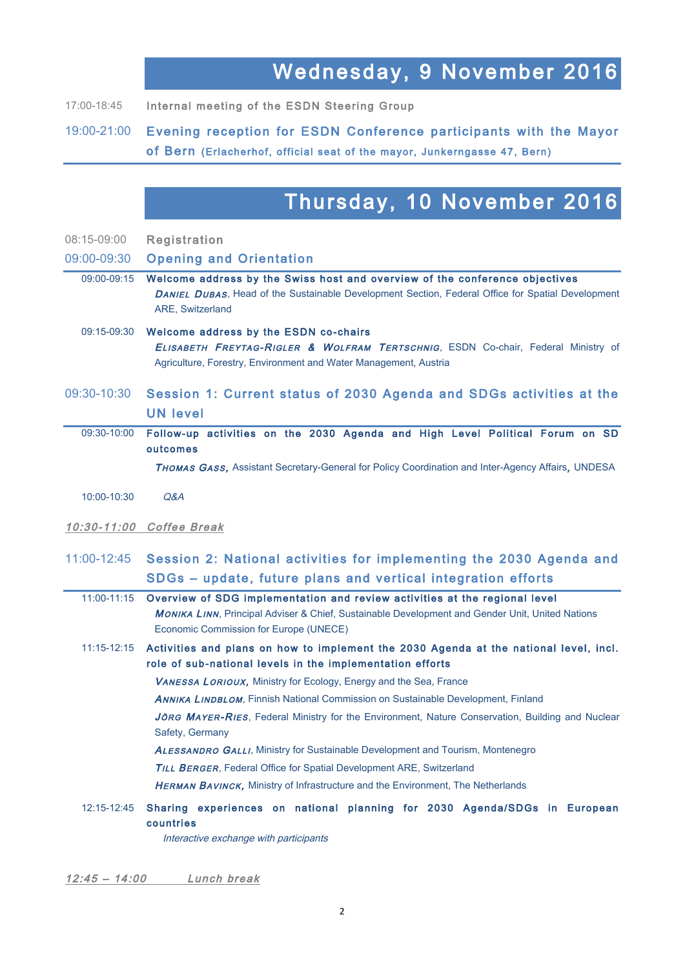## Wednesday, 9 November 2016

17:00-18:45 Internal meeting of the ESDN Steering Group

19:00-21:00 Evening reception for ESDN Conference participants with the Mayor of Bern (Erlacherhof, official seat of the mayor, Junkerngasse 47, Bern)

## Thursday, 10 November 2016

| 08:15-09:00 | Registration |
|-------------|--------------|
|-------------|--------------|

#### 09:00-09:30 Opening and Orientation

- 09:00-09:15 Welcome address by the Swiss host and overview of the conference objectives DANIEL DUBAS, Head of the Sustainable Development Section, Federal Office for Spatial Development ARE, Switzerland
- 09:15-09:30 Welcome address by the ESDN co-chairs ELISABETH FREYTAG-RIGLER & WOLFRAM TERTSCHNIG, ESDN Co-chair, Federal Ministry of Agriculture, Forestry, Environment and Water Management, Austria

#### 09:30-10:30 Session 1: Current status of 2030 Agenda and SDGs activities at the UN level

09:30-10:00 Follow-up activities on the 2030 Agenda and High Level Political Forum on SD outcomes

THOMAS GASS, Assistant Secretary-General for Policy Coordination and Inter-Agency Affairs, UNDESA

- 10:00-10:30 Q&A
- 10:30-11:00 Coffee Break

#### 11:00-12:45 Session 2: National activities for implementing the 2030 Agenda and SDGs – update, future plans and vertical integration efforts

11:00-11:15 Overview of SDG implementation and review activities at the regional level MONIKA LINN, Principal Adviser & Chief, Sustainable Development and Gender Unit, United Nations Economic Commission for Europe (UNECE)

#### 11:15-12:15 Activities and plans on how to implement the 2030 Agenda at the national level, incl. role of sub-national levels in the implementation efforts

VANESSA LORIOUX, Ministry for Ecology, Energy and the Sea, France

ANNIKA LINDBLOM, Finnish National Commission on Sustainable Development, Finland

JÖRG MAYER-RIES, Federal Ministry for the Environment, Nature Conservation, Building and Nuclear Safety, Germany

**ALESSANDRO GALLI, Ministry for Sustainable Development and Tourism, Montenegro** 

**TILL BERGER, Federal Office for Spatial Development ARE, Switzerland** 

**HERMAN BAVINCK, Ministry of Infrastructure and the Environment, The Netherlands** 

12:15-12:45 Sharing experiences on national planning for 2030 Agenda/SDGs in European countries

Interactive exchange with participants

12:45 – 14:00 Lunch break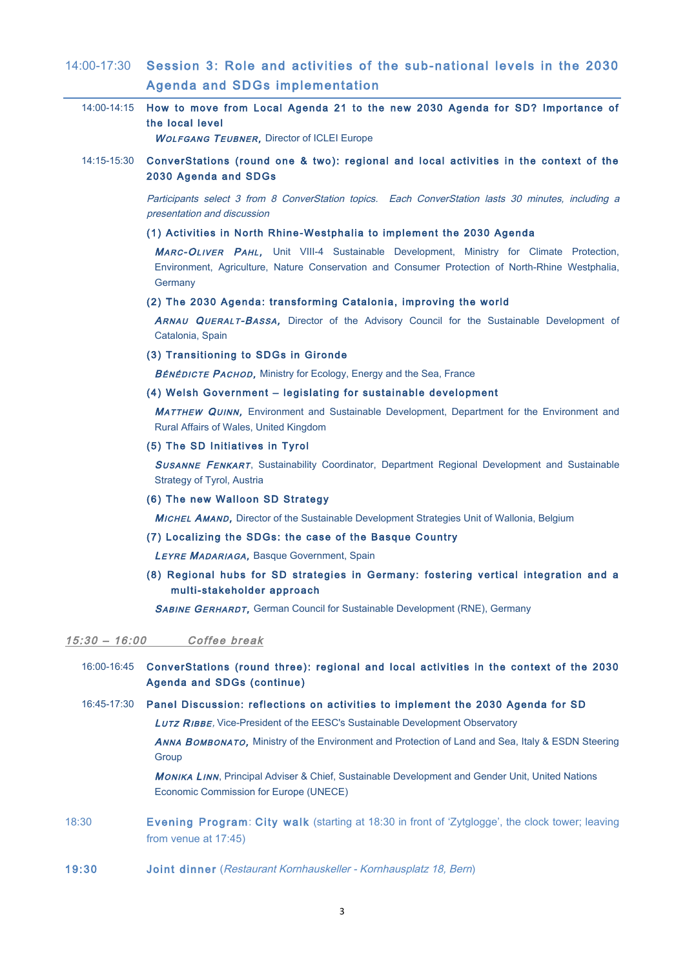#### 14:00-17:30 Session 3: Role and activities of the sub-national levels in the 2030 Agenda and SDGs implementation

|                 | 14:00-14:15 How to move from Local Agenda 21 to the new 2030 Agenda for SD? Importance of<br>the local level<br><b>WOLFGANG TEUBNER, Director of ICLEI Europe</b>                                                                                                    |  |  |  |  |  |  |  |
|-----------------|----------------------------------------------------------------------------------------------------------------------------------------------------------------------------------------------------------------------------------------------------------------------|--|--|--|--|--|--|--|
| 14:15-15:30     | ConverStations (round one & two): regional and local activities in the context of the<br>2030 Agenda and SDGs                                                                                                                                                        |  |  |  |  |  |  |  |
|                 | Participants select 3 from 8 ConverStation topics. Each ConverStation lasts 30 minutes, including a<br>presentation and discussion                                                                                                                                   |  |  |  |  |  |  |  |
|                 | (1) Activities in North Rhine-Westphalia to implement the 2030 Agenda<br>MARC-OLIVER PAHL, Unit VIII-4 Sustainable Development, Ministry for Climate Protection,<br>Environment, Agriculture, Nature Conservation and Consumer Protection of North-Rhine Westphalia, |  |  |  |  |  |  |  |
|                 | Germany                                                                                                                                                                                                                                                              |  |  |  |  |  |  |  |
|                 | (2) The 2030 Agenda: transforming Catalonia, improving the world                                                                                                                                                                                                     |  |  |  |  |  |  |  |
|                 | ARNAU QUERALT-BASSA, Director of the Advisory Council for the Sustainable Development of<br>Catalonia, Spain                                                                                                                                                         |  |  |  |  |  |  |  |
|                 | (3) Transitioning to SDGs in Gironde                                                                                                                                                                                                                                 |  |  |  |  |  |  |  |
|                 | <b>BÉNÉDICTE PACHOD, Ministry for Ecology, Energy and the Sea, France</b>                                                                                                                                                                                            |  |  |  |  |  |  |  |
|                 | (4) Welsh Government - legislating for sustainable development                                                                                                                                                                                                       |  |  |  |  |  |  |  |
|                 | <b>MATTHEW QUINN, Environment and Sustainable Development, Department for the Environment and</b><br>Rural Affairs of Wales, United Kingdom                                                                                                                          |  |  |  |  |  |  |  |
|                 | (5) The SD Initiatives in Tyrol                                                                                                                                                                                                                                      |  |  |  |  |  |  |  |
|                 | <b>SUSANNE FENKART, Sustainability Coordinator, Department Regional Development and Sustainable</b><br>Strategy of Tyrol, Austria                                                                                                                                    |  |  |  |  |  |  |  |
|                 | (6) The new Walloon SD Strategy                                                                                                                                                                                                                                      |  |  |  |  |  |  |  |
|                 | <b>MICHEL AMAND, Director of the Sustainable Development Strategies Unit of Wallonia, Belgium</b>                                                                                                                                                                    |  |  |  |  |  |  |  |
|                 | (7) Localizing the SDGs: the case of the Basque Country                                                                                                                                                                                                              |  |  |  |  |  |  |  |
|                 | LEYRE MADARIAGA, Basque Government, Spain                                                                                                                                                                                                                            |  |  |  |  |  |  |  |
|                 | (8) Regional hubs for SD strategies in Germany: fostering vertical integration and a<br>multi-stakeholder approach                                                                                                                                                   |  |  |  |  |  |  |  |
|                 | SABINE GERHARDT, German Council for Sustainable Development (RNE), Germany                                                                                                                                                                                           |  |  |  |  |  |  |  |
| $15:30 - 16:00$ | Coffee break                                                                                                                                                                                                                                                         |  |  |  |  |  |  |  |
| 16:00-16:45     | ConverStations (round three): regional and local activities in the context of the 2030<br><b>Agenda and SDGs (continue)</b>                                                                                                                                          |  |  |  |  |  |  |  |
| 16:45-17:30     | Panel Discussion: reflections on activities to implement the 2030 Agenda for SD                                                                                                                                                                                      |  |  |  |  |  |  |  |
|                 | LUTZ RIBBE, Vice-President of the EESC's Sustainable Development Observatory                                                                                                                                                                                         |  |  |  |  |  |  |  |
|                 | ANNA BOMBONATO, Ministry of the Environment and Protection of Land and Sea, Italy & ESDN Steering<br>Group                                                                                                                                                           |  |  |  |  |  |  |  |
|                 | MONIKA LINN, Principal Adviser & Chief, Sustainable Development and Gender Unit, United Nations<br>Economic Commission for Europe (UNECE)                                                                                                                            |  |  |  |  |  |  |  |
| 18:30           | Evening Program: City walk (starting at 18:30 in front of 'Zytglogge', the clock tower; leaving<br>from venue at 17:45)                                                                                                                                              |  |  |  |  |  |  |  |

19:30 Joint dinner (Restaurant Kornhauskeller - Kornhausplatz 18, Bern)